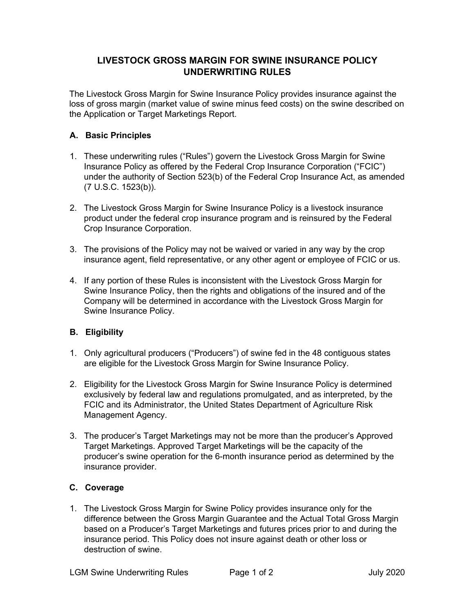## **LIVESTOCK GROSS MARGIN FOR SWINE INSURANCE POLICY UNDERWRITING RULES**

The Livestock Gross Margin for Swine Insurance Policy provides insurance against the loss of gross margin (market value of swine minus feed costs) on the swine described on the Application or Target Marketings Report.

## **A. Basic Principles**

- 1. These underwriting rules ("Rules") govern the Livestock Gross Margin for Swine Insurance Policy as offered by the Federal Crop Insurance Corporation ("FCIC") under the authority of Section 523(b) of the Federal Crop Insurance Act, as amended (7 U.S.C. 1523(b)).
- 2. The Livestock Gross Margin for Swine Insurance Policy is a livestock insurance product under the federal crop insurance program and is reinsured by the Federal Crop Insurance Corporation.
- 3. The provisions of the Policy may not be waived or varied in any way by the crop insurance agent, field representative, or any other agent or employee of FCIC or us.
- 4. If any portion of these Rules is inconsistent with the Livestock Gross Margin for Swine Insurance Policy, then the rights and obligations of the insured and of the Company will be determined in accordance with the Livestock Gross Margin for Swine Insurance Policy.

## **B. Eligibility**

- 1. Only agricultural producers ("Producers") of swine fed in the 48 contiguous states are eligible for the Livestock Gross Margin for Swine Insurance Policy.
- 2. Eligibility for the Livestock Gross Margin for Swine Insurance Policy is determined exclusively by federal law and regulations promulgated, and as interpreted, by the FCIC and its Administrator, the United States Department of Agriculture Risk Management Agency.
- 3. The producer's Target Marketings may not be more than the producer's Approved Target Marketings. Approved Target Marketings will be the capacity of the producer's swine operation for the 6-month insurance period as determined by the insurance provider.

## **C. Coverage**

1. The Livestock Gross Margin for Swine Policy provides insurance only for the difference between the Gross Margin Guarantee and the Actual Total Gross Margin based on a Producer's Target Marketings and futures prices prior to and during the insurance period. This Policy does not insure against death or other loss or destruction of swine.